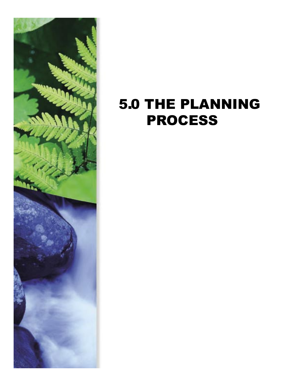

# 5.0 THE PLANNING PROCESS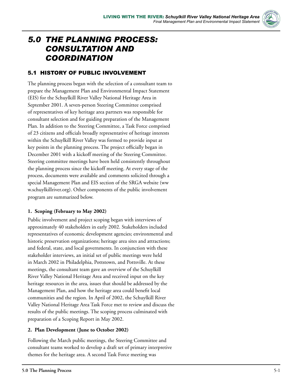

## *5.0 THE PLANNING PROCESS: CONSULTATION AND COORDINATION*

## 5.1 HISTORY OF PUBLIC INVOLVEMENT

The planning process began with the selection of a consultant team to prepare the Management Plan and Environmental Impact Statement (EIS) for the Schuylkill River Valley National Heritage Area in September 2001. A seven-person Steering Committee comprised of representatives of key heritage area partners was responsible for consultant selection and for guiding preparation of the Management Plan. In addition to the Steering Committee, a Task Force comprised of 23 citizens and officials broadly representative of heritage interests within the Schuylkill River Valley was formed to provide input at key points in the planning process. The project officially began in December 2001 with a kickoff meeting of the Steering Committee. Steering committee meetings have been held consistently throughout the planning process since the kickoff meeting. At every stage of the process, documents were available and comments solicited through a special Management Plan and EIS section of the SRGA website (ww w.schuylkillriver.org). Other components of the public involvement program are summarized below.

## **1. Scoping (February to May 2002)**

Public involvement and project scoping began with interviews of approximately 40 stakeholders in early 2002. Stakeholders included representatives of economic development agencies; environmental and historic preservation organizations; heritage area sites and attractions; and federal, state, and local governments. In conjunction with these stakeholder interviews, an initial set of public meetings were held in March 2002 in Philadelphia, Pottstown, and Pottsville. At these meetings, the consultant team gave an overview of the Schuylkill River Valley National Heritage Area and received input on the key heritage resources in the area, issues that should be addressed by the Management Plan, and how the heritage area could benefit local communities and the region. In April of 2002, the Schuylkill River Valley National Heritage Area Task Force met to review and discuss the results of the public meetings. The scoping process culminated with preparation of a Scoping Report in May 2002.

## **2. Plan Development (June to October 2002)**

Following the March public meetings, the Steering Committee and consultant teams worked to develop a draft set of primary interpretive themes for the heritage area. A second Task Force meeting was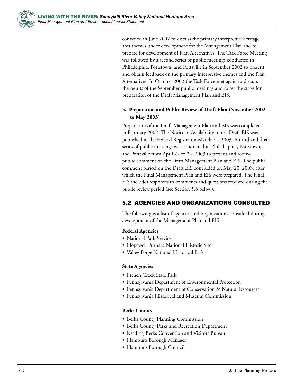

convened in June 2002 to discuss the primary interpretive heritage area themes under development for the Management Plan and to prepare for development of Plan Alternatives. The Task Force Meeting was followed by a second series of public meetings conducted in Philadelphia, Pottstown, and Pottsville in September 2002 to present and obtain feedback on the primary interpretive themes and the Plan Alternatives. In October 2002 the Task Force met again to discuss the results of the September public meetings and to set the stage for preparation of the Draft Management Plan and EIS.

## **3. Preparation and Public Review of Draft Plan (November 2002 to May 2003)**

Preparation of the Draft Management Plan and EIS was completed in February 2002. The Notice of Availability of the Draft EIS was published in the Federal Register on March 21, 2003. A third and final series of public meetings was conducted in Philadelphia, Pottstown, and Pottsville from April 22 to 24, 2003 to present and receive public comment on the Draft Management Plan and EIS. The public comment period on the Draft EIS concluded on May 20, 2003, after which the Final Management Plan and EIS were prepared. The Final EIS includes responses to comments and questions received during the public review period (see Section 5.8 below).

## 5.2 AGENCIES AND ORGANIZATIONS CONSULTED

The following is a list of agencies and organizations consulted during development of the Management Plan and EIS.

#### **Federal Agencies**

- National Park Service
- Hopewell Furnace National Historic Site
- Valley Forge National Historical Park

#### **State Agencies**

- French Creek State Park
- Pennsylvania Department of Environmental Protection
- Pennsylvania Department of Conservation & Natural Resources
- Pennsylvania Historical and Museum Commission

#### **Berks County**

- Berks County Planning Commission
- Berks County Parks and Recreation Department
- Reading-Berks Convention and Visitors Bureau
- Hamburg Borough Manager
- Hamburg Borough Council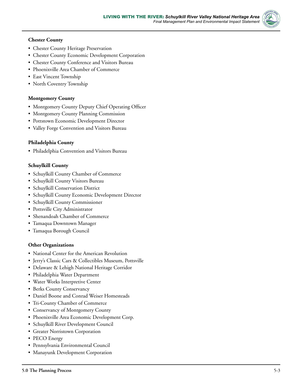

- Chester County Heritage Preservation
- Chester County Economic Development Corporation
- Chester County Conference and Visitors Bureau
- Phoenixville Area Chamber of Commerce
- East Vincent Township
- North Coventry Township

#### **Montgomery County**

- Montgomery County Deputy Chief Operating Officer
- Montgomery County Planning Commission
- Pottstown Economic Development Director
- Valley Forge Convention and Visitors Bureau

#### **Philadelphia County**

• Philadelphia Convention and Visitors Bureau

#### **Schuylkill County**

- Schuylkill County Chamber of Commerce
- Schuylkill County Visitors Bureau
- Schuylkill Conservation District
- Schuylkill County Economic Development Director
- Schuylkill County Commissioner
- Pottsville City Administrator
- Shenandoah Chamber of Commerce
- Tamaqua Downtown Manager
- Tamaqua Borough Council

#### **Other Organizations**

- National Center for the American Revolution
- Jerry's Classic Cars & Collectibles Museum, Pottsville
- Delaware & Lehigh National Heritage Corridor
- Philadelphia Water Department
- Water Works Interpretive Center
- Berks County Conservancy
- Daniel Boone and Conrad Weiser Homesteads
- Tri-County Chamber of Commerce
- Conservancy of Montgomery County
- Phoenixville Area Economic Development Corp.
- Schuylkill River Development Council
- Greater Norristown Corporation
- PECO Energy
- Pennsylvania Environmental Council
- Manayunk Development Corporation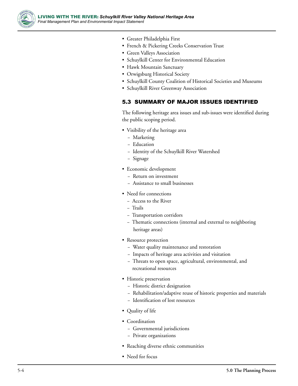

- Greater Philadelphia First
- French & Pickering Creeks Conservation Trust
- Green Valleys Association
- Schuylkill Center for Environmental Education
- Hawk Mountain Sanctuary
- Orwigsburg Historical Society
- Schuylkill County Coalition of Historical Societies and Museums
- Schuylkill River Greenway Association

#### 5.3 SUMMARY OF MAJOR ISSUES IDENTIFIED

The following heritage area issues and sub-issues were identified during the public scoping period.

- Visibility of the heritage area
	- − Marketing
	- − Education
	- − Identity of the Schuylkill River Watershed
	- − Signage
- Economic development
	- − Return on investment
	- − Assistance to small businesses
- Need for connections
	- − Access to the River
	- − Trails
	- − Transportation corridors
	- − Thematic connections (internal and external to neighboring heritage areas)
- Resource protection
	- − Water quality maintenance and restoration
	- − Impacts of heritage area activities and visitation
	- − Threats to open space, agricultural, environmental, and recreational resources
- Historic preservation
	- − Historic district designation
	- − Rehabilitation/adaptive reuse of historic properties and materials
	- − Identification of lost resources
- Quality of life
- Coordination
	- − Governmental jurisdictions
	- − Private organizations
- Reaching diverse ethnic communities
- Need for focus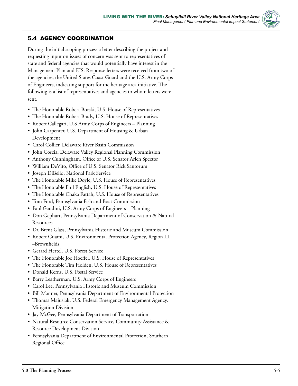

## 5.4 AGENCY COORDINATION

During the initial scoping process a letter describing the project and requesting input on issues of concern was sent to representatives of state and federal agencies that would potentially have interest in the Management Plan and EIS. Response letters were received from two of the agencies, the United States Coast Guard and the U.S. Army Corps of Engineers, indicating support for the heritage area initiative. The following is a list of representatives and agencies to whom letters were sent.

- The Honorable Robert Borski, U.S. House of Representatives
- The Honorable Robert Brady, U.S. House of Representatives
- Robert Callegari, U.S Army Corps of Engineers Planning
- John Carpenter, U.S. Department of Housing & Urban Development
- Carol Collier, Delaware River Basin Commission
- John Coscia, Delaware Valley Regional Planning Commission
- Anthony Cunningham, Office of U.S. Senator Arlen Spector
- William DeVito, Office of U.S. Senator Rick Santorum
- Joseph DiBello, National Park Service
- The Honorable Mike Doyle, U.S. House of Representatives
- The Honorable Phil English, U.S. House of Representatives
- The Honorable Chaka Fattah, U.S. House of Representatives
- Tom Ford, Pennsylvania Fish and Boat Commission
- Paul Gaudini, U.S. Army Corps of Engineers Planning
- Don Gephart, Pennsylvania Department of Conservation & Natural Resources
- Dr. Brent Glass, Pennsylvania Historic and Museum Commission
- Robert Guami, U.S. Environmental Protection Agency, Region III –Brownfields
- Gerard Hertel, U.S. Forest Service
- The Honorable Joe Hoeffel, U.S. House of Representatives
- The Honorable Tim Holden, U.S. House of Representatives
- Donald Kerns, U.S. Postal Service
- Barry Leatherman, U.S. Army Corps of Engineers
- Carol Lee, Pennsylvania Historic and Museum Commission
- Bill Manner, Pennsylvania Department of Environmental Protection
- Thomas Majusiak, U.S. Federal Emergency Management Agency, Mitigation Division
- Jay McGee, Pennsylvania Department of Transportation
- Natural Resource Conservation Service, Community Assistance & Resource Development Division
- Pennsylvania Department of Environmental Protection, Southern Regional Office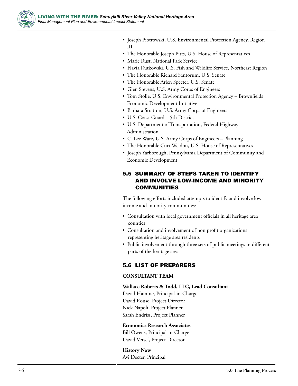

- Joseph Piotrowski, U.S. Environmental Protection Agency, Region III
- The Honorable Joseph Pitts, U.S. House of Representatives
- Marie Rust, National Park Service
- Flavia Rutkowski, U.S. Fish and Wildlife Service, Northeast Region
- The Honorable Richard Santorum, U.S. Senate
- The Honorable Arlen Specter, U.S. Senate
- Glen Stevens, U.S. Army Corps of Engineers
- Tom Stolle, U.S. Environmental Protection Agency Brownfields Economic Development Initiative
- Barbara Stratton, U.S. Army Corps of Engineers
- U.S. Coast Guard 5th District
- U.S. Department of Transportation, Federal Highway Administration
- C. Lee Ware, U.S. Army Corps of Engineers Planning
- The Honorable Curt Weldon, U.S. House of Representatives
- Joseph Yarborough, Pennsylvania Department of Community and Economic Development

## 5.5 SUMMARY OF STEPS TAKEN TO IDENTIFY AND INVOLVE LOW-INCOME AND MINORITY COMMUNITIES

The following efforts included attempts to identify and involve low income and minority communities:

- Consultation with local government officials in all heritage area counties
- Consultation and involvement of non profit organizations representing heritage area residents
- Public involvement through three sets of public meetings in different parts of the heritage area

## 5.6 LIST OF PREPARERS

#### **CONSULTANT TEAM**

#### **Wallace Roberts & Todd, LLC, Lead Consultant**

David Hamme, Principal-in-Charge David Rouse, Project Director Nick Napoli, Project Planner Sarah Endriss, Project Planner

#### **Economics Research Associates**

Bill Owens, Principal-in-Charge David Versel, Project Director

**History Now** Avi Decter, Principal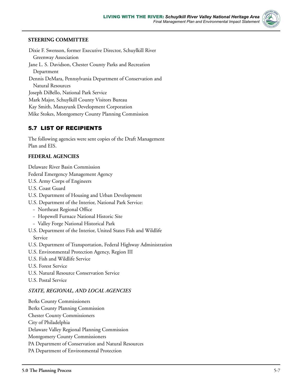

Dixie F. Swenson, former Executive Director, Schuylkill River Greenway Association Jane L. S. Davidson, Chester County Parks and Recreation Department Dennis DeMara, Pennsylvania Department of Conservation and Natural Resources Joseph DiBello, National Park Service Mark Major, Schuylkill County Visitors Bureau Kay Smith, Manayunk Development Corporation Mike Stokes, Montgomery County Planning Commission

## 5.7 LIST OF RECIPIENTS

The following agencies were sent copies of the Draft Management Plan and EIS.

#### **FEDERAL AGENCIES**

Delaware River Basin Commission

Federal Emergency Management Agency

- U.S. Army Corps of Engineers
- U.S. Coast Guard
- U.S. Department of Housing and Urban Development
- U.S. Department of the Interior, National Park Service:
	- − Northeast Regional Office
	- − Hopewell Furnace National Historic Site
	- − Valley Forge National Historical Park
- U.S. Department of the Interior, United States Fish and Wildlife Service
- U.S. Department of Transportation, Federal Highway Administration
- U.S. Environmental Protection Agency, Region III
- U.S. Fish and Wildlife Service
- U.S. Forest Service
- U.S. Natural Resource Conservation Service
- U.S. Postal Service

#### *STATE, REGIONAL, AND LOCAL AGENCIES*

Berks County Commissioners Berks County Planning Commission Chester County Commissioners City of Philadelphia Delaware Valley Regional Planning Commission Montgomery County Commissioners PA Department of Conservation and Natural Resources PA Department of Environmental Protection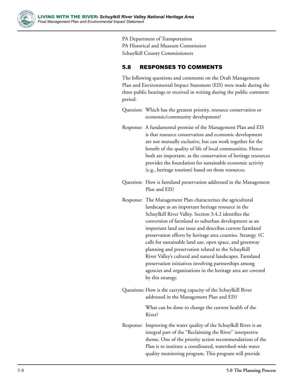

PA Department of Transportation PA Historical and Museum Commission Schuylkill County Commissioners

## 5.8 RESPONSES TO COMMENTS

The following questions and comments on the Draft Management Plan and Environmental Impact Statement (EIS) were made during the three public hearings or received in writing during the public comment period.

- Question: Which has the greatest priority, resource conservation or economic/community development?
- Response: A fundamental premise of the Management Plan and EIS is that resource conservation and economic development are not mutually exclusive, but can work together for the benefit of the quality of life of local communities. Hence both are important, as the conservation of heritage resources provides the foundation for sustainable economic activity (e.g., heritage tourism) based on those resources.
- Question: How is farmland preservation addressed in the Management Plan and EIS?
- Response: The Management Plan characterizes the agricultural landscape as an important heritage resource in the Schuylkill River Valley. Section 3.4.2 identifies the conversion of farmland to suburban development as an important land use issue and describes current farmland preservation efforts by heritage area counties. Strategy 1C calls for sustainable land use, open space, and greenway planning and preservation related to the Schuylkill River Valley's cultural and natural landscapes. Farmland preservation initiatives involving partnerships among agencies and organizations in the heritage area are covered by this strategy.
- Questions: How is the carrying capacity of the Schuylkill River addressed in the Management Plan and EIS?

What can be done to change the current health of the River?

Response: Improving the water quality of the Schuylkill River is an integral part of the "Reclaiming the River" interpretive theme. One of the priority action recommendations of the Plan is to institute a coordinated, watershed-wide water quality monitoring program. This program will provide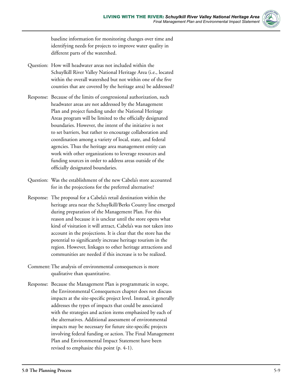

baseline information for monitoring changes over time and identifying needs for projects to improve water quality in different parts of the watershed.

- Question: How will headwater areas not included within the Schuylkill River Valley National Heritage Area (i.e., located within the overall watershed but not within one of the five counties that are covered by the heritage area) be addressed?
- Response: Because of the limits of congressional authorization, such headwater areas are not addressed by the Management Plan and project funding under the National Heritage Areas program will be limited to the officially designated boundaries. However, the intent of the initiative is not to set barriers, but rather to encourage collaboration and coordination among a variety of local, state, and federal agencies. Thus the heritage area management entity can work with other organizations to leverage resources and funding sources in order to address areas outside of the officially designated boundaries.
- Question: Was the establishment of the new Cabela's store accounted for in the projections for the preferred alternative?
- Response: The proposal for a Cabela's retail destination within the heritage area near the Schuylkill/Berks County line emerged during preparation of the Management Plan. For this reason and because it is unclear until the store opens what kind of visitation it will attract, Cabela's was not taken into account in the projections. It is clear that the store has the potential to significantly increase heritage tourism in the region. However, linkages to other heritage attractions and communities are needed if this increase is to be realized.
- Comment:The analysis of environmental consequences is more qualitative than quantitative.
- Response: Because the Management Plan is programmatic in scope, the Environmental Consequences chapter does not discuss impacts at the site-specific project level. Instead, it generally addresses the types of impacts that could be associated with the strategies and action items emphasized by each of the alternatives. Additional assessment of environmental impacts may be necessary for future site-specific projects involving federal funding or action. The Final Management Plan and Environmental Impact Statement have been revised to emphasize this point (p. 4-1).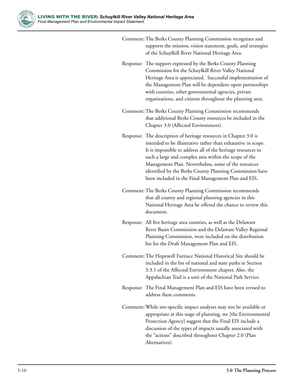

|  | supports the mission, vision statement, goals, and strategies<br>of the Schuylkill River National Heritage Area.                                                                                                                                                                                                                                                                                                                     |
|--|--------------------------------------------------------------------------------------------------------------------------------------------------------------------------------------------------------------------------------------------------------------------------------------------------------------------------------------------------------------------------------------------------------------------------------------|
|  | Response: The support expressed by the Berks County Planning<br>Commission for the Schuylkill River Valley National<br>Heritage Area is appreciated. Successful implementation of<br>the Management Plan will be dependent upon partnerships<br>with counties, other governmental agencies, private<br>organizations, and citizens throughout the planning area.                                                                     |
|  | Comment: The Berks County Planning Commission recommends<br>that additional Berks County resources be included in the<br>Chapter 3.0 (Affected Environment).                                                                                                                                                                                                                                                                         |
|  | Response: The description of heritage resources in Chapter 3.0 is<br>intended to be illustrative rather than exhaustive in scope.<br>It is impossible to address all of the heritage resources in<br>such a large and complex area within the scope of the<br>Management Plan. Nevertheless, some of the resources<br>identified by the Berks County Planning Commission have<br>been included in the Final Management Plan and EIS. |
|  | Comment: The Berks County Planning Commission recommends<br>that all county and regional planning agencies in this<br>National Heritage Area be offered the chance to review this<br>document.                                                                                                                                                                                                                                       |
|  | Response: All five heritage area counties, as well as the Delaware<br>River Basin Commission and the Delaware Valley Regional<br>Planning Commission, were included on the distribution<br>list for the Draft Management Plan and EIS.                                                                                                                                                                                               |
|  | Comment: The Hopewell Furnace National Historical Site should be<br>included in the list of national and state parks in Section<br>3.3.1 of the Affected Environment chapter. Also, the<br>Appalachian Trail is a unit of the National Park Service.                                                                                                                                                                                 |
|  | Response: The Final Management Plan and EIS have been revised to<br>address these comments.                                                                                                                                                                                                                                                                                                                                          |
|  | Comment: While site-specific impact analyses may not be available or<br>appropriate at this stage of planning, we [the Environmental<br>Protection Agency] suggest that the Final EIS include a<br>discussion of the types of impacts usually associated with<br>the "actions" described throughout Chapter 2.0 (Plan<br>Alternatives).                                                                                              |

Comment:The Berks County Planning Commission recognizes and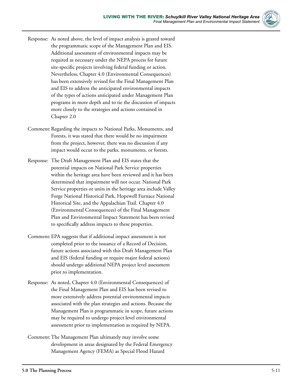

- Response: As noted above, the level of impact analysis is geared toward the programmatic scope of the Management Plan and EIS. Additional assessment of environmental impacts may be required as necessary under the NEPA process for future site-specific projects involving federal funding or action. Nevertheless, Chapter 4.0 (Environmental Consequences) has been extensively revised for the Final Management Plan and EIS to address the anticipated environmental impacts of the types of actions anticipated under Management Plan programs in more depth and to tie the discussion of impacts more closely to the strategies and actions contained in Chapter 2.0
- Comment: Regarding the impacts to National Parks, Monuments, and Forests, it was stated that there would be no impairment from the project, however, there was no discussion if any impact would occur to the parks, monuments, or forests.
- Response: The Draft Management Plan and EIS states that the potential impacts on National Park Service properties within the heritage area have been reviewed and it has been determined that impairment will not occur. National Park Service properties or units in the heritage area include Valley Forge National Historical Park, Hopewell Furnace National Historical Site, and the Appalachian Trail. Chapter 4.0 (Environmental Consequences) of the Final Management Plan and Environmental Impact Statement has been revised to specifically address impacts to these properties.
- Comment:EPA suggests that if additional impact assessment is not completed prior to the issuance of a Record of Decision, future actions associated with this Draft Management Plan and EIS (federal funding or require major federal actions) should undergo additional NEPA project level assessment prior to implementation.
- Response: As noted, Chapter 4.0 (Environmental Consequences) of the Final Management Plan and EIS has been revised to more extensively address potential environmental impacts associated with the plan strategies and actions. Because the Management Plan is programmatic in scope, future actions may be required to undergo project level environmental assessment prior to implementation as required by NEPA.
- Comment:The Management Plan ultimately may involve some development in areas designated by the Federal Emergency Management Agency (FEMA) as Special Flood Hazard